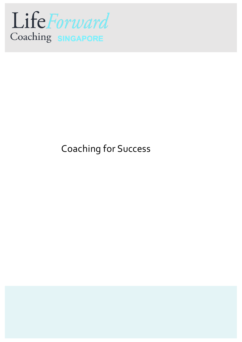

## Coaching for Success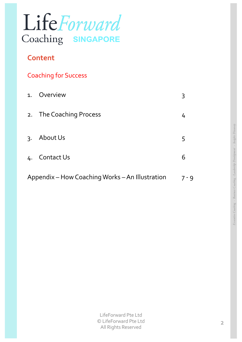

## **Content**

|  |  | <b>Coaching for Success</b> |
|--|--|-----------------------------|
|  |  |                             |

| 1.                                              | Overview                | 3 |
|-------------------------------------------------|-------------------------|---|
|                                                 | 2. The Coaching Process | 4 |
| $\mathsf{R}$                                    | About Us                | 5 |
|                                                 | 4. Contact Us           | 6 |
| Appendix – How Coaching Works – An Illustration |                         |   |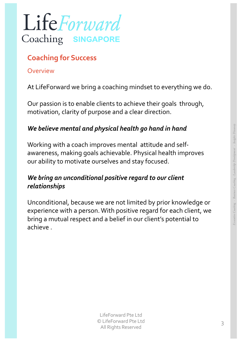

## **Coaching for Success**

#### Overview

At LifeForward we bring a coaching mindset to everything we do.

Our passion is to enable clients to achieve their goals through, motivation, clarity of purpose and a clear direction.

### *We believe mental and physical health go hand in hand*

Working with a coach improves mental attitude and selfawareness, making goals achievable. Physical health improves our ability to motivate ourselves and stay focused.

#### *We bring an unconditional positive regard to our client relationships*

Unconditional, because we are not limited by prior knowledge or experience with a person. With positive regard for each client, we bring a mutual respect and a belief in our client's potential to achieve .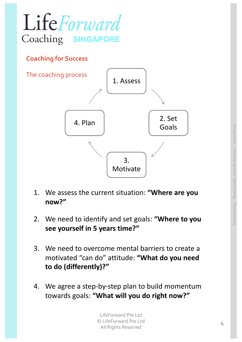

#### **Coaching for Success**



- 1. We assess the current situation: **"Where are you now?"**
- 2. We need to identify and set goals: **"Where to you see yourself in 5 years time?"**
- 3. We need to overcome mental barriers to create a motivated "can do" attitude: **"What do you need to do (differently)?"**
- 4. We agree a step-by-step plan to build momentum towards goals: **"What will you do right now?"**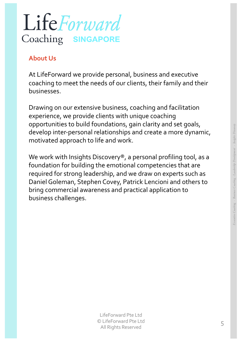

## **About Us**

At LifeForward we provide personal, business and executive coaching to meet the needs of our clients, their family and their businesses.

Drawing on our extensive business, coaching and facilitation experience, we provide clients with unique coaching opportunities to build foundations, gain clarity and set goals, develop inter-personal relationships and create a more dynamic, motivated approach to life and work.

We work with Insights Discovery<sup>®</sup>, a personal profiling tool, as a foundation for building the emotional competencies that are required for strong leadership, and we draw on experts such as Daniel Goleman, Stephen Covey, Patrick Lencioni and others to bring commercial awareness and practical application to business challenges.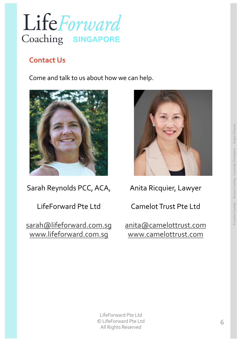

## **Contact Us**

Come and talk to us about how we can help.



Sarah Reynolds PCC, ACA,

LifeForward Pte Ltd

[sarah@lifeforward.com.s](mailto:sarah@lifeforward.com.sg)g [www.lifeforward.com.s](http://www.lifeforward.com.sg/)g



Anita Ricquier, Lawyer

Camelot Trust Pte Ltd

[anita@camelottrust.com](mailto:anita@camelottrust.com) [www.camelottrust.com](http://www.camelottrust.com/)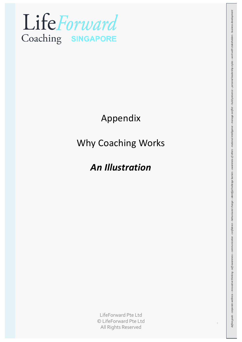

## Appendix

## Why Coaching Works

## *An Illustration*

LifeForward Pte Ltd © LifeForward Pte Ltd All Rights Reserved

7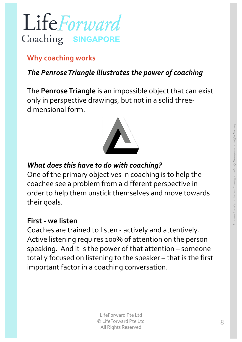## LifeForward Coaching SINGA

## **Why coaching works**

## *The Penrose Triangle illustrates the power of coaching*

The **Penrose Triangle** is an impossible object that can exist only in perspective drawings, but not in a solid threedimensional form.

## *What does this have to do with coaching?*

One of the primary objectives in coaching is to help the coachee see a problem from a different perspective in order to help them unstick themselves and move towards their goals.

### **First - we listen**

Coaches are trained to listen - actively and attentively. Active listening requires 100% of attention on the person speaking. And it is the power of that attention – someone totally focused on listening to the speaker – that is the first important factor in a coaching conversation.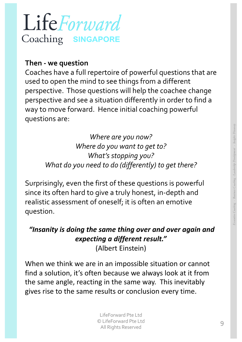# LifeForward Coaching SINGAPORE

## **Then - we question**

Coaches have a full repertoire of powerful questions that are used to open the mind to see things from a different perspective. Those questions will help the coachee change perspective and see a situation differently in order to find a way to move forward. Hence initial coaching powerful questions are:

> *Where are you now? Where do you want to get to? What's stopping you? What do you need to do (differently) to get there?*

Surprisingly, even the first of these questions is powerful since its often hard to give a truly honest, in-depth and realistic assessment of oneself; it is often an emotive question.

## *"Insanity is doing the same thing over and over again and expecting a different result."* (Albert Einstein)

When we think we are in an impossible situation or cannot find a solution, it's often because we always look at it from the same angle, reacting in the same way. This inevitably gives rise to the same results or conclusion every time.